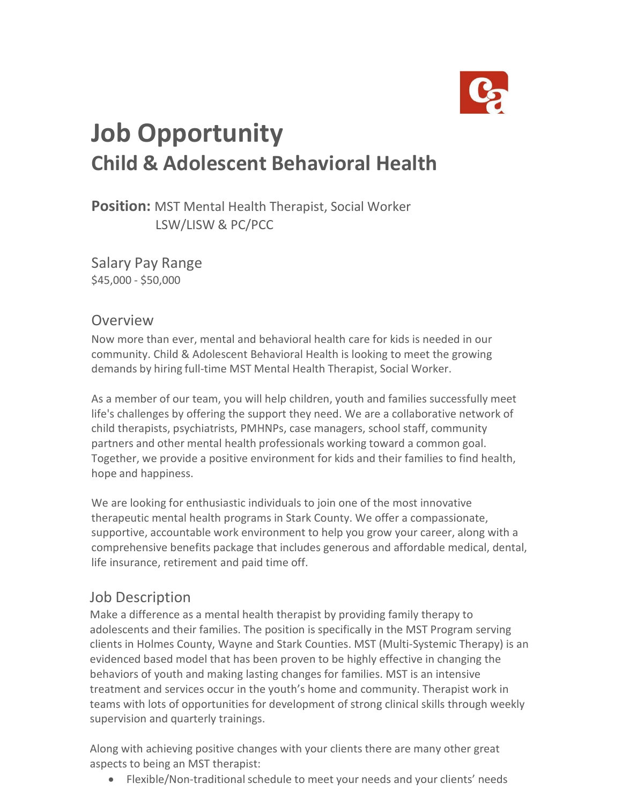

# **Job Opportunity Child & Adolescent Behavioral Health**

**Position:** MST Mental Health Therapist, Social Worker LSW/LISW & PC/PCC

Salary Pay Range \$45,000 - \$50,000

### Overview

Now more than ever, mental and behavioral health care for kids is needed in our community. Child & Adolescent Behavioral Health is looking to meet the growing demands by hiring full-time MST Mental Health Therapist, Social Worker.

As a member of our team, you will help children, youth and families successfully meet life's challenges by offering the support they need. We are a collaborative network of child therapists, psychiatrists, PMHNPs, case managers, school staff, community partners and other mental health professionals working toward a common goal. Together, we provide a positive environment for kids and their families to find health, hope and happiness.

We are looking for enthusiastic individuals to join one of the most innovative therapeutic mental health programs in Stark County. We offer a compassionate, supportive, accountable work environment to help you grow your career, along with a comprehensive benefits package that includes generous and affordable medical, dental, life insurance, retirement and paid time off.

## Job Description

Make a difference as a mental health therapist by providing family therapy to adolescents and their families. The position is specifically in the MST Program serving clients in Holmes County, Wayne and Stark Counties. MST (Multi-Systemic Therapy) is an evidenced based model that has been proven to be highly effective in changing the behaviors of youth and making lasting changes for families. MST is an intensive treatment and services occur in the youth's home and community. Therapist work in teams with lots of opportunities for development of strong clinical skills through weekly supervision and quarterly trainings.

Along with achieving positive changes with your clients there are many other great aspects to being an MST therapist:

• Flexible/Non-traditional schedule to meet your needs and your clients' needs